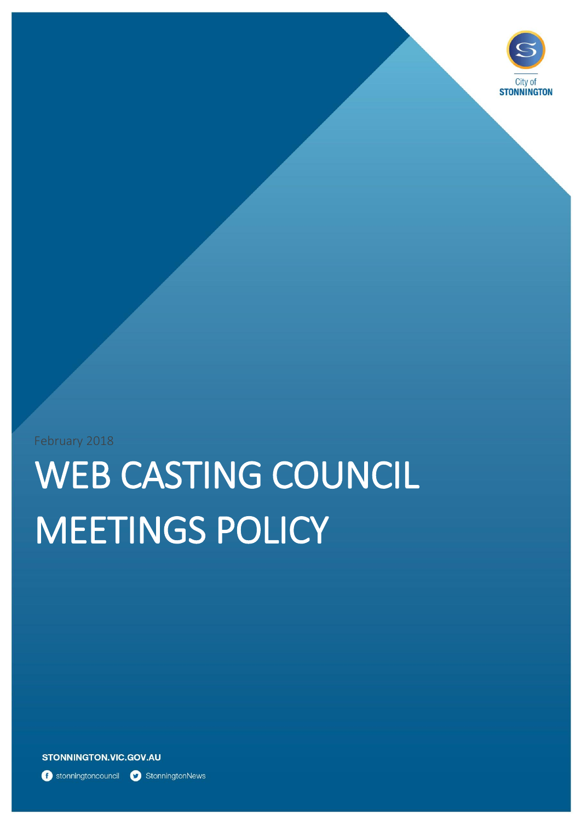

February 2018

# WEB CASTING COUNCIL MEETINGS POLICY

**STONNINGTON.VIC.GOV.AU** 

**f** stonningtoncouncil **C** StonningtonNews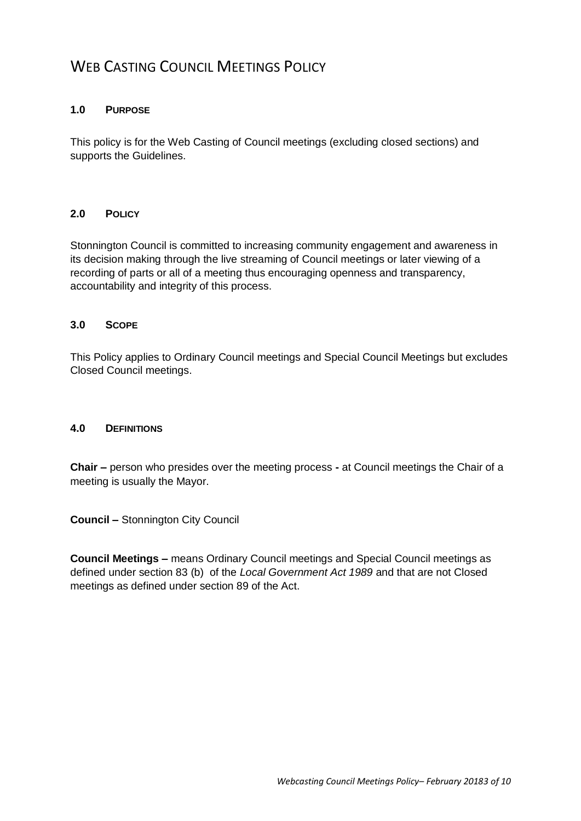# WEB CASTING COUNCIL MEETINGS POLICY

#### **1.0 PURPOSE**

This policy is for the Web Casting of Council meetings (excluding closed sections) and supports the Guidelines.

## **2.0 POLICY**

Stonnington Council is committed to increasing community engagement and awareness in its decision making through the live streaming of Council meetings or later viewing of a recording of parts or all of a meeting thus encouraging openness and transparency, accountability and integrity of this process.

#### **3.0 SCOPE**

This Policy applies to Ordinary Council meetings and Special Council Meetings but excludes Closed Council meetings.

#### **4.0 DEFINITIONS**

**Chair –** person who presides over the meeting process **-** at Council meetings the Chair of a meeting is usually the Mayor.

**Council –** Stonnington City Council

**Council Meetings –** means Ordinary Council meetings and Special Council meetings as defined under section 83 (b) of the *Local Government Act 1989* and that are not Closed meetings as defined under section 89 of the Act.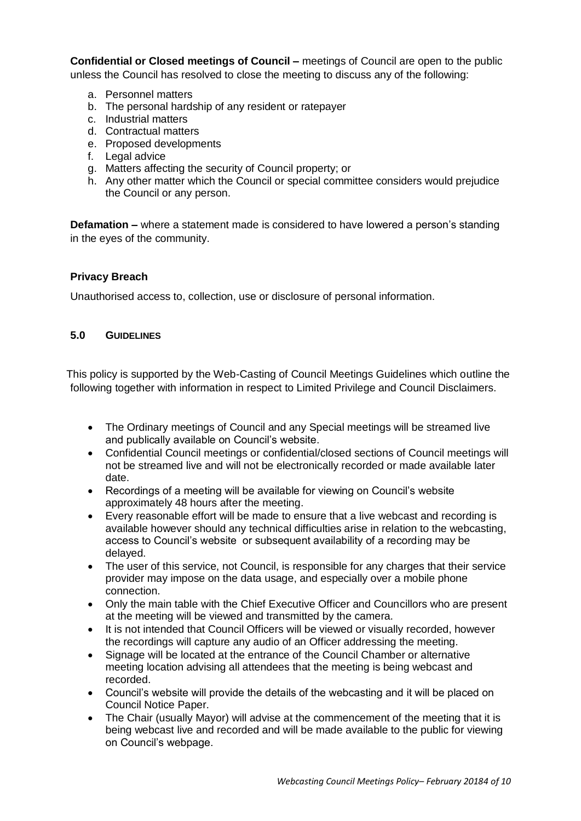**Confidential or Closed meetings of Council –** meetings of Council are open to the public unless the Council has resolved to close the meeting to discuss any of the following:

- a. Personnel matters
- b. The personal hardship of any resident or ratepayer
- c. Industrial matters
- d. Contractual matters
- e. Proposed developments
- f. Legal advice
- g. Matters affecting the security of Council property; or
- h. Any other matter which the Council or special committee considers would prejudice the Council or any person.

**Defamation –** where a statement made is considered to have lowered a person's standing in the eyes of the community.

#### **Privacy Breach**

Unauthorised access to, collection, use or disclosure of personal information.

#### **5.0 GUIDELINES**

This policy is supported by the Web-Casting of Council Meetings Guidelines which outline the following together with information in respect to Limited Privilege and Council Disclaimers.

- The Ordinary meetings of Council and any Special meetings will be streamed live and publically available on Council's website.
- Confidential Council meetings or confidential/closed sections of Council meetings will not be streamed live and will not be electronically recorded or made available later date.
- Recordings of a meeting will be available for viewing on Council's website approximately 48 hours after the meeting.
- Every reasonable effort will be made to ensure that a live webcast and recording is available however should any technical difficulties arise in relation to the webcasting, access to Council's website or subsequent availability of a recording may be delayed.
- The user of this service, not Council, is responsible for any charges that their service provider may impose on the data usage, and especially over a mobile phone connection.
- Only the main table with the Chief Executive Officer and Councillors who are present at the meeting will be viewed and transmitted by the camera.
- It is not intended that Council Officers will be viewed or visually recorded, however the recordings will capture any audio of an Officer addressing the meeting.
- Signage will be located at the entrance of the Council Chamber or alternative meeting location advising all attendees that the meeting is being webcast and recorded.
- Council's website will provide the details of the webcasting and it will be placed on Council Notice Paper.
- The Chair (usually Mayor) will advise at the commencement of the meeting that it is being webcast live and recorded and will be made available to the public for viewing on Council's webpage.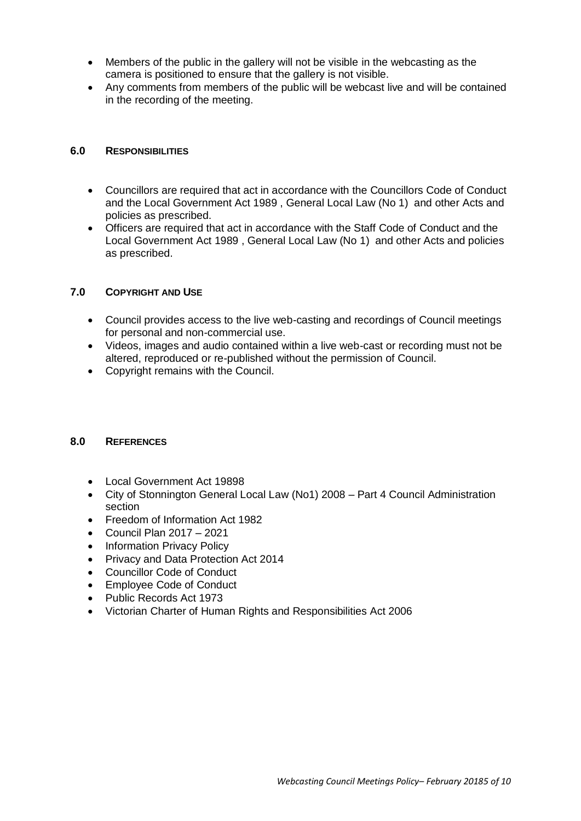- Members of the public in the gallery will not be visible in the webcasting as the camera is positioned to ensure that the gallery is not visible.
- Any comments from members of the public will be webcast live and will be contained in the recording of the meeting.

#### **6.0 RESPONSIBILITIES**

- Councillors are required that act in accordance with the Councillors Code of Conduct and the Local Government Act 1989 , General Local Law (No 1) and other Acts and policies as prescribed.
- Officers are required that act in accordance with the Staff Code of Conduct and the Local Government Act 1989 , General Local Law (No 1) and other Acts and policies as prescribed.

#### **7.0 COPYRIGHT AND USE**

- Council provides access to the live web-casting and recordings of Council meetings for personal and non-commercial use.
- Videos, images and audio contained within a live web-cast or recording must not be altered, reproduced or re-published without the permission of Council.
- Copyright remains with the Council.

#### **8.0 REFERENCES**

- Local Government Act 19898
- City of Stonnington General Local Law (No1) 2008 Part 4 Council Administration section
- Freedom of Information Act 1982
- $\bullet$  Council Plan 2017 2021
- Information Privacy Policy
- Privacy and Data Protection Act 2014
- Councillor Code of Conduct
- Employee Code of Conduct
- Public Records Act 1973
- Victorian Charter of Human Rights and Responsibilities Act 2006